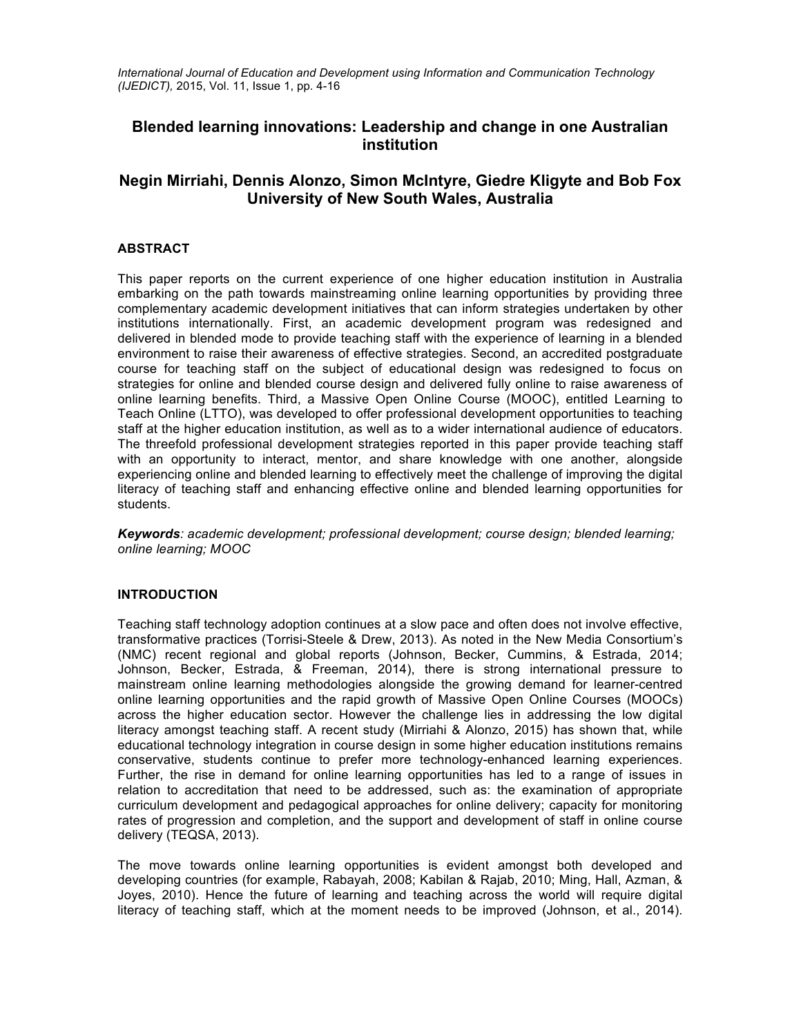*International Journal of Education and Development using Information and Communication Technology (IJEDICT),* 2015, Vol. 11, Issue 1, pp. 4-16

# **Blended learning innovations: Leadership and change in one Australian institution**

# **Negin Mirriahi, Dennis Alonzo, Simon McIntyre, Giedre Kligyte and Bob Fox University of New South Wales, Australia**

# **ABSTRACT**

This paper reports on the current experience of one higher education institution in Australia embarking on the path towards mainstreaming online learning opportunities by providing three complementary academic development initiatives that can inform strategies undertaken by other institutions internationally. First, an academic development program was redesigned and delivered in blended mode to provide teaching staff with the experience of learning in a blended environment to raise their awareness of effective strategies. Second, an accredited postgraduate course for teaching staff on the subject of educational design was redesigned to focus on strategies for online and blended course design and delivered fully online to raise awareness of online learning benefits. Third, a Massive Open Online Course (MOOC), entitled Learning to Teach Online (LTTO), was developed to offer professional development opportunities to teaching staff at the higher education institution, as well as to a wider international audience of educators. The threefold professional development strategies reported in this paper provide teaching staff with an opportunity to interact, mentor, and share knowledge with one another, alongside experiencing online and blended learning to effectively meet the challenge of improving the digital literacy of teaching staff and enhancing effective online and blended learning opportunities for students.

*Keywords: academic development; professional development; course design; blended learning; online learning; MOOC*

# **INTRODUCTION**

Teaching staff technology adoption continues at a slow pace and often does not involve effective, transformative practices (Torrisi-Steele & Drew, 2013). As noted in the New Media Consortium's (NMC) recent regional and global reports (Johnson, Becker, Cummins, & Estrada, 2014; Johnson, Becker, Estrada, & Freeman, 2014), there is strong international pressure to mainstream online learning methodologies alongside the growing demand for learner-centred online learning opportunities and the rapid growth of Massive Open Online Courses (MOOCs) across the higher education sector. However the challenge lies in addressing the low digital literacy amongst teaching staff. A recent study (Mirriahi & Alonzo, 2015) has shown that, while educational technology integration in course design in some higher education institutions remains conservative, students continue to prefer more technology-enhanced learning experiences. Further, the rise in demand for online learning opportunities has led to a range of issues in relation to accreditation that need to be addressed, such as: the examination of appropriate curriculum development and pedagogical approaches for online delivery; capacity for monitoring rates of progression and completion, and the support and development of staff in online course delivery (TEQSA, 2013).

The move towards online learning opportunities is evident amongst both developed and developing countries (for example, Rabayah, 2008; Kabilan & Rajab, 2010; Ming, Hall, Azman, & Joyes, 2010). Hence the future of learning and teaching across the world will require digital literacy of teaching staff, which at the moment needs to be improved (Johnson, et al., 2014).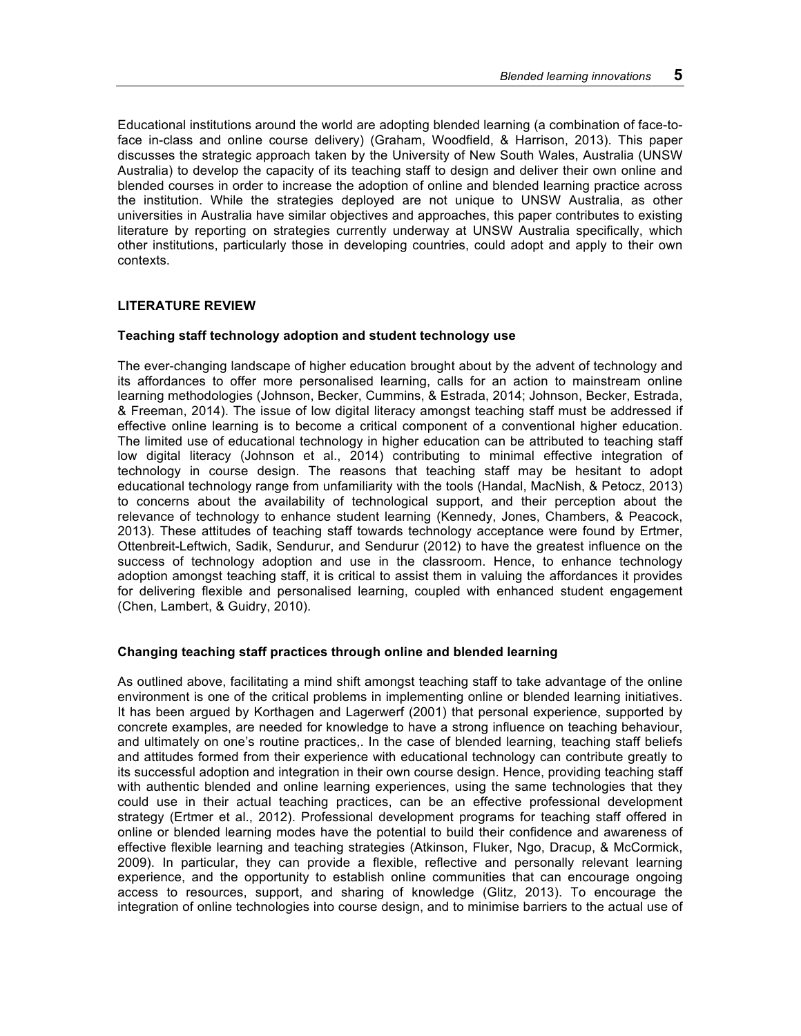Educational institutions around the world are adopting blended learning (a combination of face-toface in-class and online course delivery) (Graham, Woodfield, & Harrison, 2013). This paper discusses the strategic approach taken by the University of New South Wales, Australia (UNSW Australia) to develop the capacity of its teaching staff to design and deliver their own online and blended courses in order to increase the adoption of online and blended learning practice across the institution. While the strategies deployed are not unique to UNSW Australia, as other universities in Australia have similar objectives and approaches, this paper contributes to existing literature by reporting on strategies currently underway at UNSW Australia specifically, which other institutions, particularly those in developing countries, could adopt and apply to their own contexts.

# **LITERATURE REVIEW**

### **Teaching staff technology adoption and student technology use**

The ever-changing landscape of higher education brought about by the advent of technology and its affordances to offer more personalised learning, calls for an action to mainstream online learning methodologies (Johnson, Becker, Cummins, & Estrada, 2014; Johnson, Becker, Estrada, & Freeman, 2014). The issue of low digital literacy amongst teaching staff must be addressed if effective online learning is to become a critical component of a conventional higher education. The limited use of educational technology in higher education can be attributed to teaching staff low digital literacy (Johnson et al., 2014) contributing to minimal effective integration of technology in course design. The reasons that teaching staff may be hesitant to adopt educational technology range from unfamiliarity with the tools (Handal, MacNish, & Petocz, 2013) to concerns about the availability of technological support, and their perception about the relevance of technology to enhance student learning (Kennedy, Jones, Chambers, & Peacock, 2013). These attitudes of teaching staff towards technology acceptance were found by Ertmer, Ottenbreit-Leftwich, Sadik, Sendurur, and Sendurur (2012) to have the greatest influence on the success of technology adoption and use in the classroom. Hence, to enhance technology adoption amongst teaching staff, it is critical to assist them in valuing the affordances it provides for delivering flexible and personalised learning, coupled with enhanced student engagement (Chen, Lambert, & Guidry, 2010).

# **Changing teaching staff practices through online and blended learning**

As outlined above, facilitating a mind shift amongst teaching staff to take advantage of the online environment is one of the critical problems in implementing online or blended learning initiatives. It has been argued by Korthagen and Lagerwerf (2001) that personal experience, supported by concrete examples, are needed for knowledge to have a strong influence on teaching behaviour, and ultimately on one's routine practices,. In the case of blended learning, teaching staff beliefs and attitudes formed from their experience with educational technology can contribute greatly to its successful adoption and integration in their own course design. Hence, providing teaching staff with authentic blended and online learning experiences, using the same technologies that they could use in their actual teaching practices, can be an effective professional development strategy (Ertmer et al., 2012). Professional development programs for teaching staff offered in online or blended learning modes have the potential to build their confidence and awareness of effective flexible learning and teaching strategies (Atkinson, Fluker, Ngo, Dracup, & McCormick, 2009). In particular, they can provide a flexible, reflective and personally relevant learning experience, and the opportunity to establish online communities that can encourage ongoing access to resources, support, and sharing of knowledge (Glitz, 2013). To encourage the integration of online technologies into course design, and to minimise barriers to the actual use of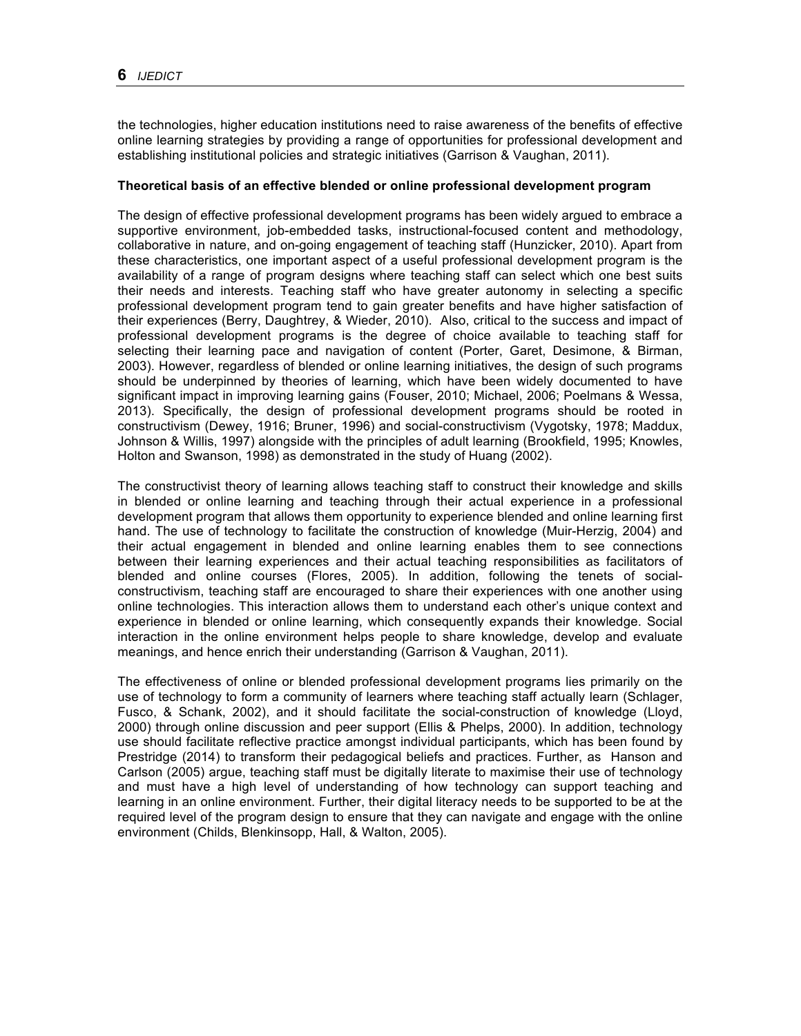the technologies, higher education institutions need to raise awareness of the benefits of effective online learning strategies by providing a range of opportunities for professional development and establishing institutional policies and strategic initiatives (Garrison & Vaughan, 2011).

### **Theoretical basis of an effective blended or online professional development program**

The design of effective professional development programs has been widely argued to embrace a supportive environment, job-embedded tasks, instructional-focused content and methodology, collaborative in nature, and on-going engagement of teaching staff (Hunzicker, 2010). Apart from these characteristics, one important aspect of a useful professional development program is the availability of a range of program designs where teaching staff can select which one best suits their needs and interests. Teaching staff who have greater autonomy in selecting a specific professional development program tend to gain greater benefits and have higher satisfaction of their experiences (Berry, Daughtrey, & Wieder, 2010). Also, critical to the success and impact of professional development programs is the degree of choice available to teaching staff for selecting their learning pace and navigation of content (Porter, Garet, Desimone, & Birman, 2003). However, regardless of blended or online learning initiatives, the design of such programs should be underpinned by theories of learning, which have been widely documented to have significant impact in improving learning gains (Fouser, 2010; Michael, 2006; Poelmans & Wessa, 2013). Specifically, the design of professional development programs should be rooted in constructivism (Dewey, 1916; Bruner, 1996) and social-constructivism (Vygotsky, 1978; Maddux, Johnson & Willis, 1997) alongside with the principles of adult learning (Brookfield, 1995; Knowles, Holton and Swanson, 1998) as demonstrated in the study of Huang (2002).

The constructivist theory of learning allows teaching staff to construct their knowledge and skills in blended or online learning and teaching through their actual experience in a professional development program that allows them opportunity to experience blended and online learning first hand. The use of technology to facilitate the construction of knowledge (Muir-Herzig, 2004) and their actual engagement in blended and online learning enables them to see connections between their learning experiences and their actual teaching responsibilities as facilitators of blended and online courses (Flores, 2005). In addition, following the tenets of socialconstructivism, teaching staff are encouraged to share their experiences with one another using online technologies. This interaction allows them to understand each other's unique context and experience in blended or online learning, which consequently expands their knowledge. Social interaction in the online environment helps people to share knowledge, develop and evaluate meanings, and hence enrich their understanding (Garrison & Vaughan, 2011).

The effectiveness of online or blended professional development programs lies primarily on the use of technology to form a community of learners where teaching staff actually learn (Schlager, Fusco, & Schank, 2002), and it should facilitate the social-construction of knowledge (Lloyd, 2000) through online discussion and peer support (Ellis & Phelps, 2000). In addition, technology use should facilitate reflective practice amongst individual participants, which has been found by Prestridge (2014) to transform their pedagogical beliefs and practices. Further, as Hanson and Carlson (2005) argue, teaching staff must be digitally literate to maximise their use of technology and must have a high level of understanding of how technology can support teaching and learning in an online environment. Further, their digital literacy needs to be supported to be at the required level of the program design to ensure that they can navigate and engage with the online environment (Childs, Blenkinsopp, Hall, & Walton, 2005).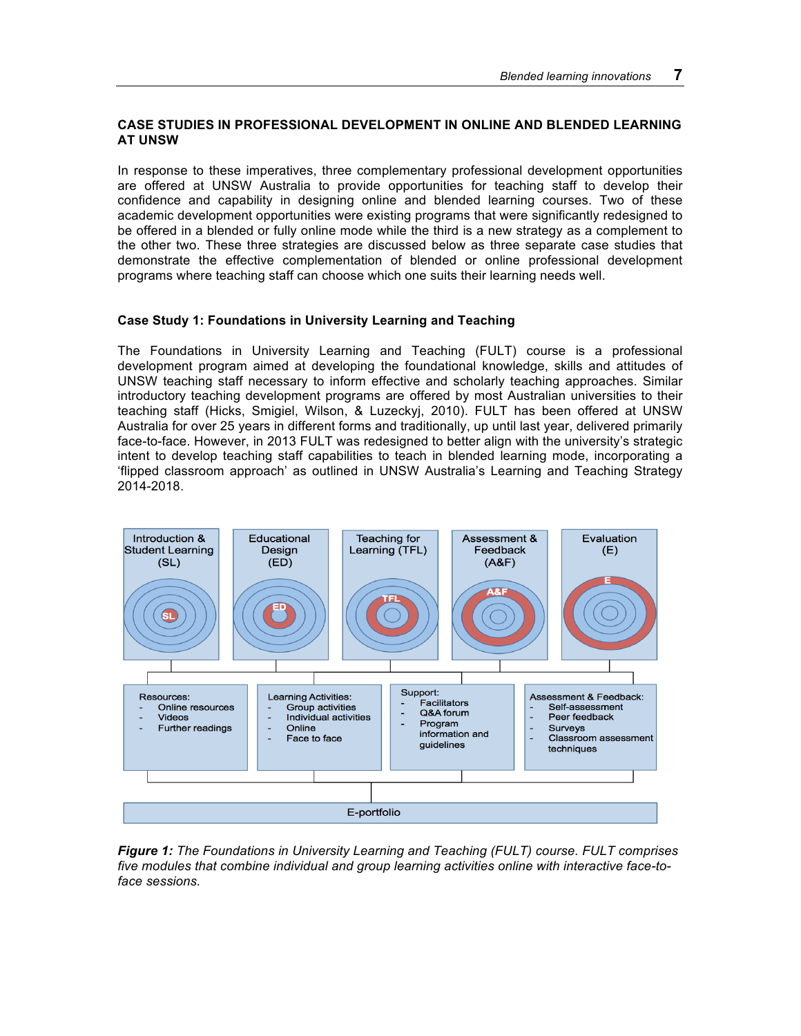# **CASE STUDIES IN PROFESSIONAL DEVELOPMENT IN ONLINE AND BLENDED LEARNING AT UNSW**

In response to these imperatives, three complementary professional development opportunities are offered at UNSW Australia to provide opportunities for teaching staff to develop their confidence and capability in designing online and blended learning courses. Two of these academic development opportunities were existing programs that were significantly redesigned to be offered in a blended or fully online mode while the third is a new strategy as a complement to the other two. These three strategies are discussed below as three separate case studies that demonstrate the effective complementation of blended or online professional development programs where teaching staff can choose which one suits their learning needs well.

# **Case Study 1: Foundations in University Learning and Teaching**

The Foundations in University Learning and Teaching (FULT) course is a professional development program aimed at developing the foundational knowledge, skills and attitudes of UNSW teaching staff necessary to inform effective and scholarly teaching approaches. Similar introductory teaching development programs are offered by most Australian universities to their teaching staff (Hicks, Smigiel, Wilson, & Luzeckyj, 2010). FULT has been offered at UNSW Australia for over 25 years in different forms and traditionally, up until last year, delivered primarily face-to-face. However, in 2013 FULT was redesigned to better align with the university's strategic intent to develop teaching staff capabilities to teach in blended learning mode, incorporating a 'flipped classroom approach' as outlined in UNSW Australia's Learning and Teaching Strategy 2014-2018.



*Figure 1: The Foundations in University Learning and Teaching (FULT) course. FULT comprises five modules that combine individual and group learning activities online with interactive face-toface sessions.*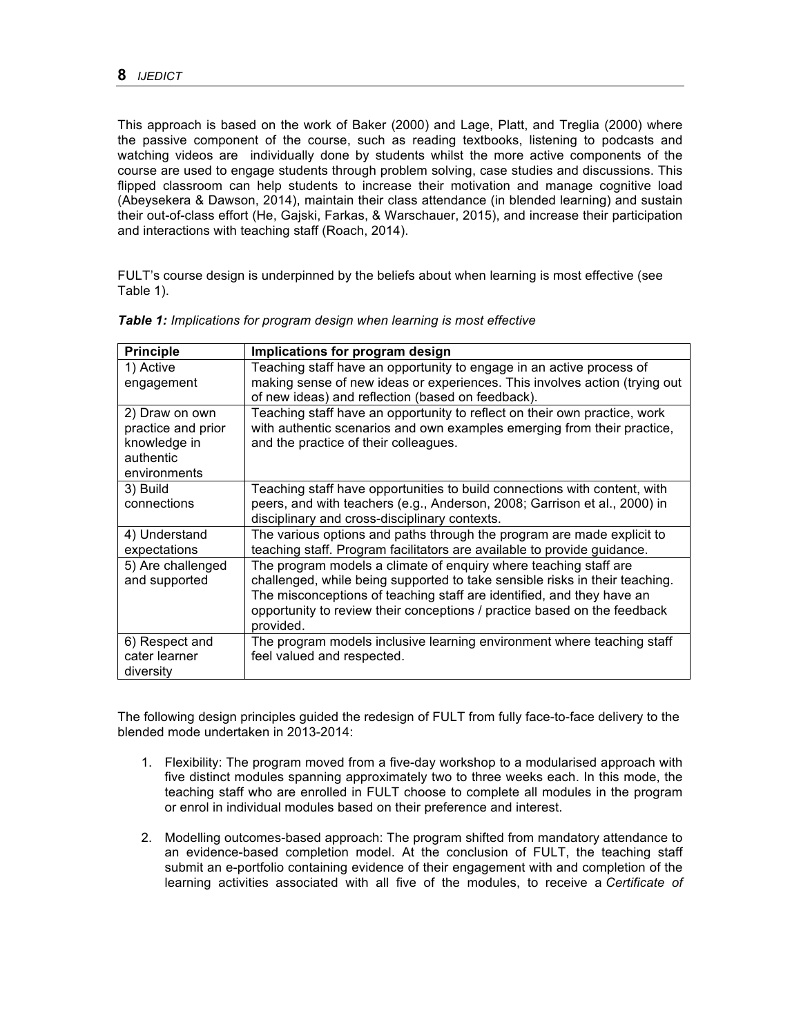This approach is based on the work of Baker (2000) and Lage, Platt, and Treglia (2000) where the passive component of the course, such as reading textbooks, listening to podcasts and watching videos are individually done by students whilst the more active components of the course are used to engage students through problem solving, case studies and discussions. This flipped classroom can help students to increase their motivation and manage cognitive load (Abeysekera & Dawson, 2014), maintain their class attendance (in blended learning) and sustain their out-of-class effort (He, Gajski, Farkas, & Warschauer, 2015), and increase their participation and interactions with teaching staff (Roach, 2014).

FULT's course design is underpinned by the beliefs about when learning is most effective (see Table 1).

| <b>Principle</b>   | Implications for program design                                             |
|--------------------|-----------------------------------------------------------------------------|
| 1) Active          | Teaching staff have an opportunity to engage in an active process of        |
| engagement         | making sense of new ideas or experiences. This involves action (trying out  |
|                    | of new ideas) and reflection (based on feedback).                           |
| 2) Draw on own     | Teaching staff have an opportunity to reflect on their own practice, work   |
| practice and prior | with authentic scenarios and own examples emerging from their practice,     |
| knowledge in       | and the practice of their colleagues.                                       |
| authentic          |                                                                             |
| environments       |                                                                             |
| 3) Build           | Teaching staff have opportunities to build connections with content, with   |
| connections        | peers, and with teachers (e.g., Anderson, 2008; Garrison et al., 2000) in   |
|                    | disciplinary and cross-disciplinary contexts.                               |
| 4) Understand      | The various options and paths through the program are made explicit to      |
| expectations       | teaching staff. Program facilitators are available to provide guidance.     |
| 5) Are challenged  | The program models a climate of enquiry where teaching staff are            |
| and supported      | challenged, while being supported to take sensible risks in their teaching. |
|                    | The misconceptions of teaching staff are identified, and they have an       |
|                    | opportunity to review their conceptions / practice based on the feedback    |
|                    | provided.                                                                   |
| 6) Respect and     | The program models inclusive learning environment where teaching staff      |
| cater learner      | feel valued and respected.                                                  |
| diversity          |                                                                             |

*Table 1: Implications for program design when learning is most effective*

The following design principles guided the redesign of FULT from fully face-to-face delivery to the blended mode undertaken in 2013-2014:

- 1. Flexibility: The program moved from a five-day workshop to a modularised approach with five distinct modules spanning approximately two to three weeks each. In this mode, the teaching staff who are enrolled in FULT choose to complete all modules in the program or enrol in individual modules based on their preference and interest.
- 2. Modelling outcomes-based approach: The program shifted from mandatory attendance to an evidence-based completion model. At the conclusion of FULT, the teaching staff submit an e-portfolio containing evidence of their engagement with and completion of the learning activities associated with all five of the modules, to receive a *Certificate of*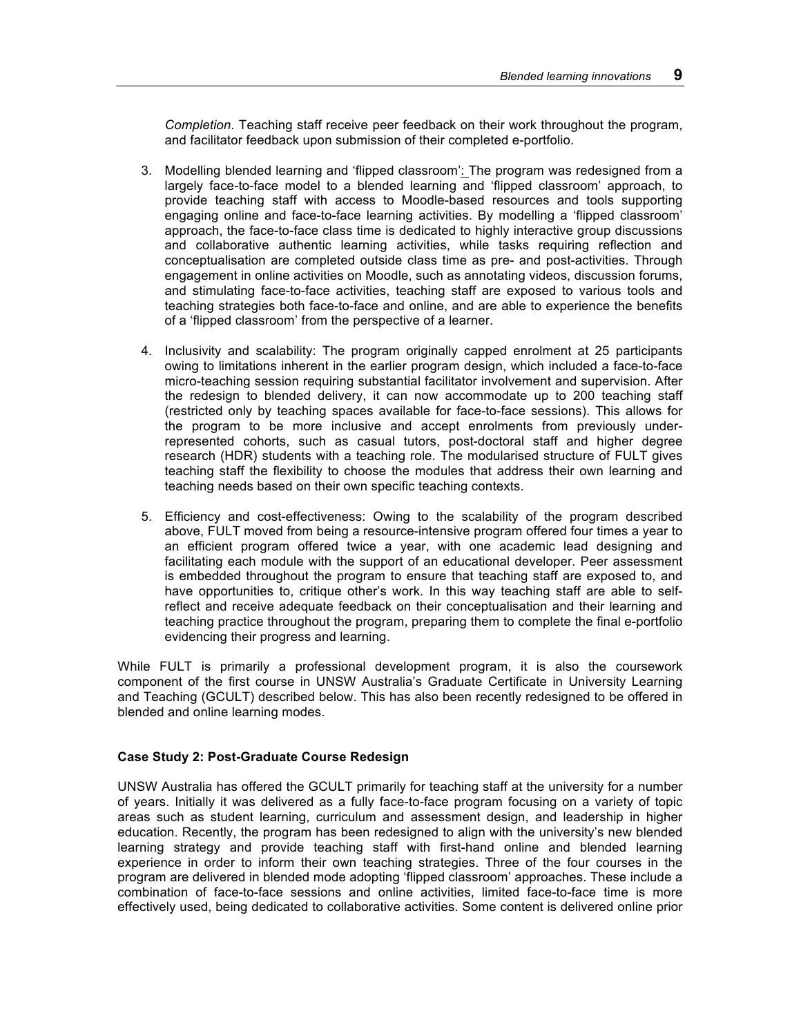*Completion*. Teaching staff receive peer feedback on their work throughout the program, and facilitator feedback upon submission of their completed e-portfolio.

- 3. Modelling blended learning and 'flipped classroom': The program was redesigned from a largely face-to-face model to a blended learning and 'flipped classroom' approach, to provide teaching staff with access to Moodle-based resources and tools supporting engaging online and face-to-face learning activities. By modelling a 'flipped classroom' approach, the face-to-face class time is dedicated to highly interactive group discussions and collaborative authentic learning activities, while tasks requiring reflection and conceptualisation are completed outside class time as pre- and post-activities. Through engagement in online activities on Moodle, such as annotating videos, discussion forums, and stimulating face-to-face activities, teaching staff are exposed to various tools and teaching strategies both face-to-face and online, and are able to experience the benefits of a 'flipped classroom' from the perspective of a learner.
- 4. Inclusivity and scalability: The program originally capped enrolment at 25 participants owing to limitations inherent in the earlier program design, which included a face-to-face micro-teaching session requiring substantial facilitator involvement and supervision. After the redesign to blended delivery, it can now accommodate up to 200 teaching staff (restricted only by teaching spaces available for face-to-face sessions). This allows for the program to be more inclusive and accept enrolments from previously underrepresented cohorts, such as casual tutors, post-doctoral staff and higher degree research (HDR) students with a teaching role. The modularised structure of FULT gives teaching staff the flexibility to choose the modules that address their own learning and teaching needs based on their own specific teaching contexts.
- 5. Efficiency and cost-effectiveness: Owing to the scalability of the program described above, FULT moved from being a resource-intensive program offered four times a year to an efficient program offered twice a year, with one academic lead designing and facilitating each module with the support of an educational developer. Peer assessment is embedded throughout the program to ensure that teaching staff are exposed to, and have opportunities to, critique other's work. In this way teaching staff are able to selfreflect and receive adequate feedback on their conceptualisation and their learning and teaching practice throughout the program, preparing them to complete the final e-portfolio evidencing their progress and learning.

While FULT is primarily a professional development program, it is also the coursework component of the first course in UNSW Australia's Graduate Certificate in University Learning and Teaching (GCULT) described below. This has also been recently redesigned to be offered in blended and online learning modes.

### **Case Study 2: Post-Graduate Course Redesign**

UNSW Australia has offered the GCULT primarily for teaching staff at the university for a number of years. Initially it was delivered as a fully face-to-face program focusing on a variety of topic areas such as student learning, curriculum and assessment design, and leadership in higher education. Recently, the program has been redesigned to align with the university's new blended learning strategy and provide teaching staff with first-hand online and blended learning experience in order to inform their own teaching strategies. Three of the four courses in the program are delivered in blended mode adopting 'flipped classroom' approaches. These include a combination of face-to-face sessions and online activities, limited face-to-face time is more effectively used, being dedicated to collaborative activities. Some content is delivered online prior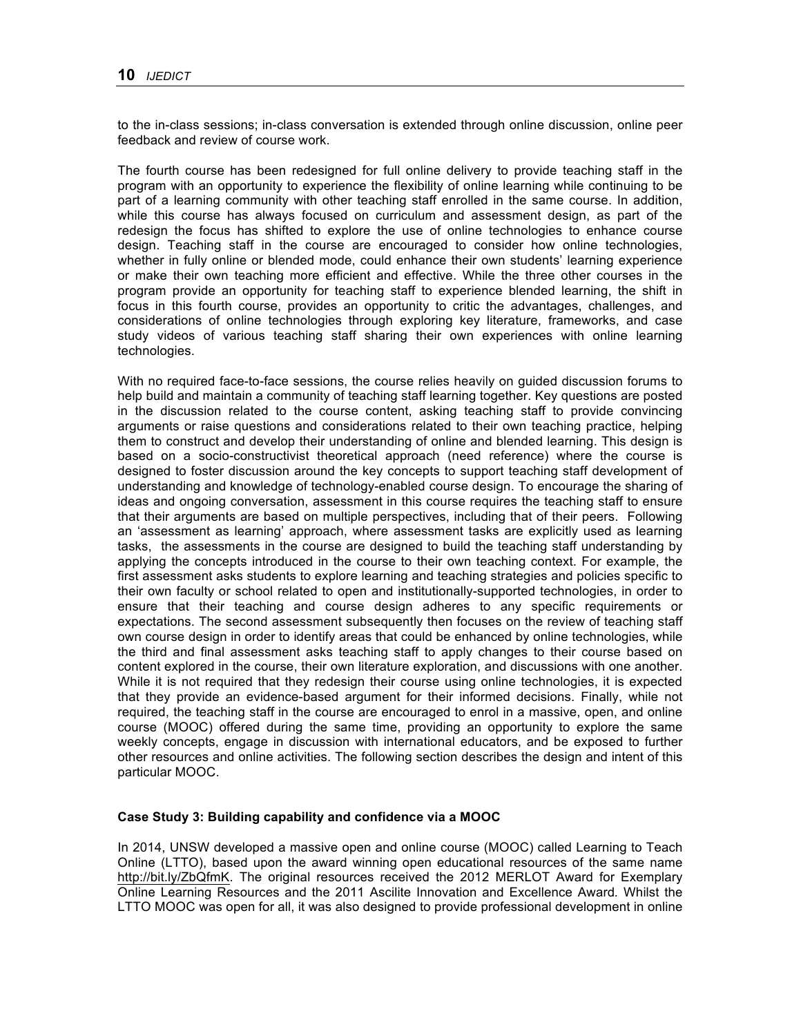to the in-class sessions; in-class conversation is extended through online discussion, online peer feedback and review of course work.

The fourth course has been redesigned for full online delivery to provide teaching staff in the program with an opportunity to experience the flexibility of online learning while continuing to be part of a learning community with other teaching staff enrolled in the same course. In addition, while this course has always focused on curriculum and assessment design, as part of the redesign the focus has shifted to explore the use of online technologies to enhance course design. Teaching staff in the course are encouraged to consider how online technologies, whether in fully online or blended mode, could enhance their own students' learning experience or make their own teaching more efficient and effective. While the three other courses in the program provide an opportunity for teaching staff to experience blended learning, the shift in focus in this fourth course, provides an opportunity to critic the advantages, challenges, and considerations of online technologies through exploring key literature, frameworks, and case study videos of various teaching staff sharing their own experiences with online learning technologies.

With no required face-to-face sessions, the course relies heavily on guided discussion forums to help build and maintain a community of teaching staff learning together. Key questions are posted in the discussion related to the course content, asking teaching staff to provide convincing arguments or raise questions and considerations related to their own teaching practice, helping them to construct and develop their understanding of online and blended learning. This design is based on a socio-constructivist theoretical approach (need reference) where the course is designed to foster discussion around the key concepts to support teaching staff development of understanding and knowledge of technology-enabled course design. To encourage the sharing of ideas and ongoing conversation, assessment in this course requires the teaching staff to ensure that their arguments are based on multiple perspectives, including that of their peers. Following an 'assessment as learning' approach, where assessment tasks are explicitly used as learning tasks, the assessments in the course are designed to build the teaching staff understanding by applying the concepts introduced in the course to their own teaching context. For example, the first assessment asks students to explore learning and teaching strategies and policies specific to their own faculty or school related to open and institutionally-supported technologies, in order to ensure that their teaching and course design adheres to any specific requirements or expectations. The second assessment subsequently then focuses on the review of teaching staff own course design in order to identify areas that could be enhanced by online technologies, while the third and final assessment asks teaching staff to apply changes to their course based on content explored in the course, their own literature exploration, and discussions with one another. While it is not required that they redesign their course using online technologies, it is expected that they provide an evidence-based argument for their informed decisions. Finally, while not required, the teaching staff in the course are encouraged to enrol in a massive, open, and online course (MOOC) offered during the same time, providing an opportunity to explore the same weekly concepts, engage in discussion with international educators, and be exposed to further other resources and online activities. The following section describes the design and intent of this particular MOOC.

#### **Case Study 3: Building capability and confidence via a MOOC**

In 2014, UNSW developed a massive open and online course (MOOC) called Learning to Teach Online (LTTO), based upon the award winning open educational resources of the same name http://bit.ly/ZbQfmK. The original resources received the 2012 MERLOT Award for Exemplary Online Learning Resources and the 2011 Ascilite Innovation and Excellence Award*.* Whilst the LTTO MOOC was open for all, it was also designed to provide professional development in online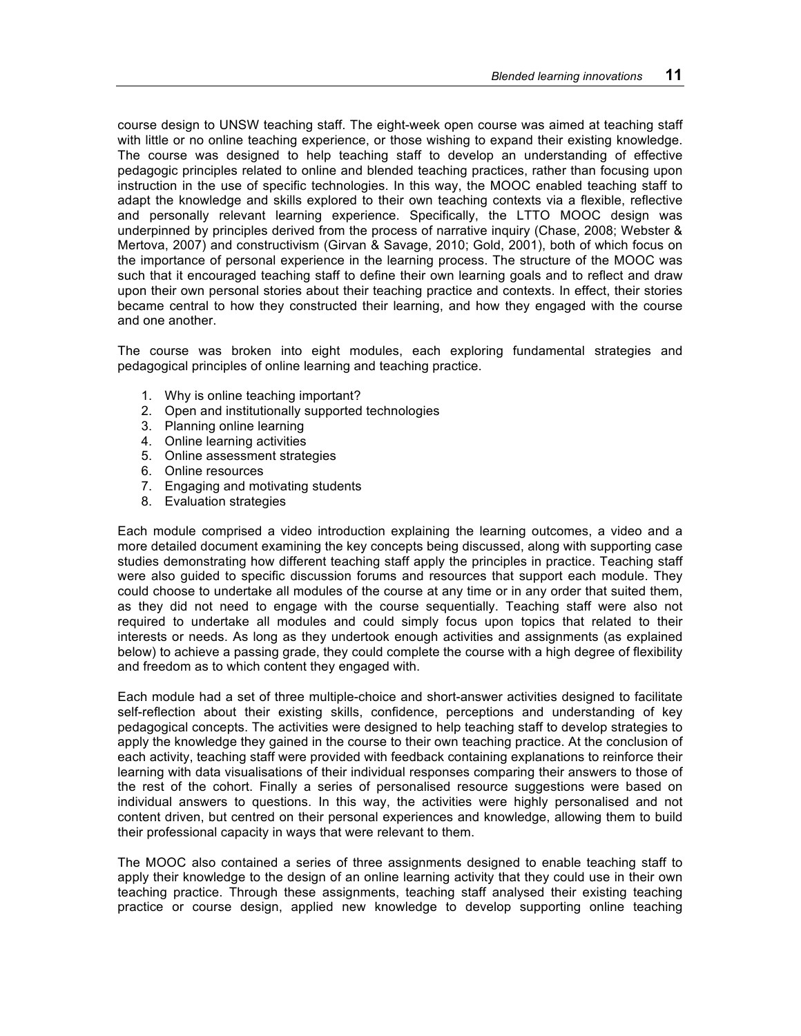course design to UNSW teaching staff. The eight-week open course was aimed at teaching staff with little or no online teaching experience, or those wishing to expand their existing knowledge. The course was designed to help teaching staff to develop an understanding of effective pedagogic principles related to online and blended teaching practices, rather than focusing upon instruction in the use of specific technologies. In this way, the MOOC enabled teaching staff to adapt the knowledge and skills explored to their own teaching contexts via a flexible, reflective and personally relevant learning experience. Specifically, the LTTO MOOC design was underpinned by principles derived from the process of narrative inquiry (Chase, 2008; Webster & Mertova, 2007) and constructivism (Girvan & Savage, 2010; Gold, 2001), both of which focus on the importance of personal experience in the learning process. The structure of the MOOC was such that it encouraged teaching staff to define their own learning goals and to reflect and draw upon their own personal stories about their teaching practice and contexts. In effect, their stories became central to how they constructed their learning, and how they engaged with the course and one another.

The course was broken into eight modules, each exploring fundamental strategies and pedagogical principles of online learning and teaching practice.

- 1. Why is online teaching important?
- 2. Open and institutionally supported technologies
- 3. Planning online learning
- 4. Online learning activities
- 5. Online assessment strategies
- 6. Online resources
- 7. Engaging and motivating students
- 8. Evaluation strategies

Each module comprised a video introduction explaining the learning outcomes, a video and a more detailed document examining the key concepts being discussed, along with supporting case studies demonstrating how different teaching staff apply the principles in practice. Teaching staff were also guided to specific discussion forums and resources that support each module. They could choose to undertake all modules of the course at any time or in any order that suited them, as they did not need to engage with the course sequentially. Teaching staff were also not required to undertake all modules and could simply focus upon topics that related to their interests or needs. As long as they undertook enough activities and assignments (as explained below) to achieve a passing grade, they could complete the course with a high degree of flexibility and freedom as to which content they engaged with.

Each module had a set of three multiple-choice and short-answer activities designed to facilitate self-reflection about their existing skills, confidence, perceptions and understanding of key pedagogical concepts. The activities were designed to help teaching staff to develop strategies to apply the knowledge they gained in the course to their own teaching practice. At the conclusion of each activity, teaching staff were provided with feedback containing explanations to reinforce their learning with data visualisations of their individual responses comparing their answers to those of the rest of the cohort. Finally a series of personalised resource suggestions were based on individual answers to questions. In this way, the activities were highly personalised and not content driven, but centred on their personal experiences and knowledge, allowing them to build their professional capacity in ways that were relevant to them.

The MOOC also contained a series of three assignments designed to enable teaching staff to apply their knowledge to the design of an online learning activity that they could use in their own teaching practice. Through these assignments, teaching staff analysed their existing teaching practice or course design, applied new knowledge to develop supporting online teaching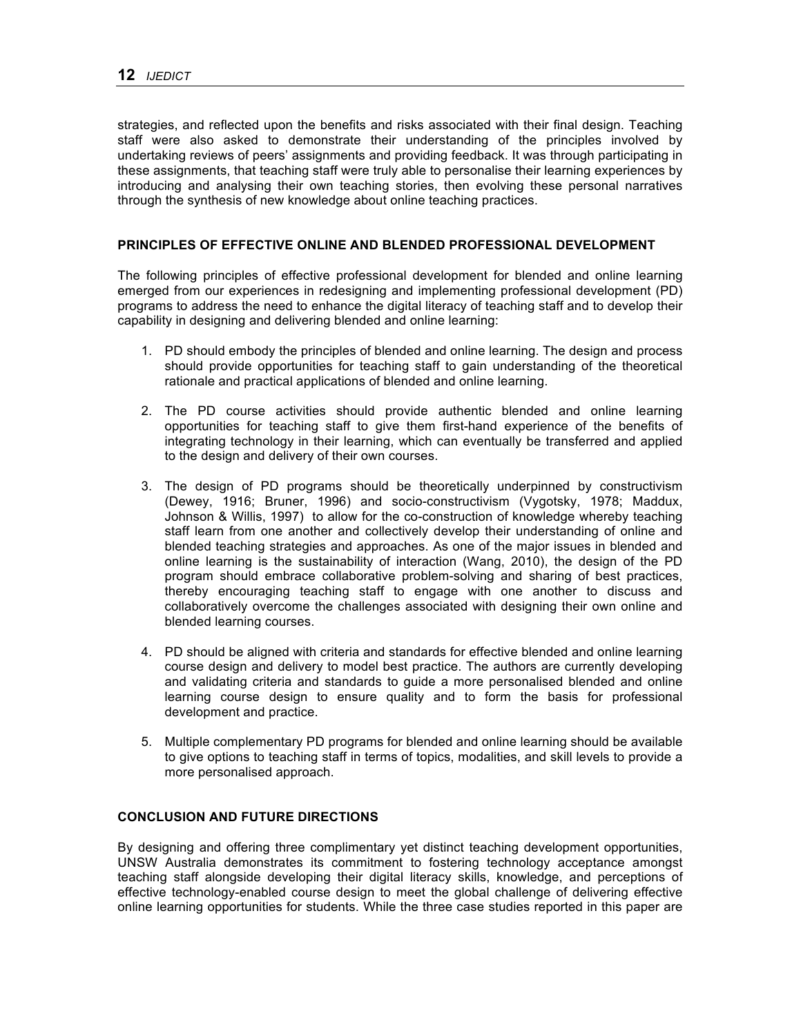strategies, and reflected upon the benefits and risks associated with their final design. Teaching staff were also asked to demonstrate their understanding of the principles involved by undertaking reviews of peers' assignments and providing feedback. It was through participating in these assignments, that teaching staff were truly able to personalise their learning experiences by introducing and analysing their own teaching stories, then evolving these personal narratives through the synthesis of new knowledge about online teaching practices.

# **PRINCIPLES OF EFFECTIVE ONLINE AND BLENDED PROFESSIONAL DEVELOPMENT**

The following principles of effective professional development for blended and online learning emerged from our experiences in redesigning and implementing professional development (PD) programs to address the need to enhance the digital literacy of teaching staff and to develop their capability in designing and delivering blended and online learning:

- 1. PD should embody the principles of blended and online learning. The design and process should provide opportunities for teaching staff to gain understanding of the theoretical rationale and practical applications of blended and online learning.
- 2. The PD course activities should provide authentic blended and online learning opportunities for teaching staff to give them first-hand experience of the benefits of integrating technology in their learning, which can eventually be transferred and applied to the design and delivery of their own courses.
- 3. The design of PD programs should be theoretically underpinned by constructivism (Dewey, 1916; Bruner, 1996) and socio-constructivism (Vygotsky, 1978; Maddux, Johnson & Willis, 1997) to allow for the co-construction of knowledge whereby teaching staff learn from one another and collectively develop their understanding of online and blended teaching strategies and approaches. As one of the major issues in blended and online learning is the sustainability of interaction (Wang, 2010), the design of the PD program should embrace collaborative problem-solving and sharing of best practices, thereby encouraging teaching staff to engage with one another to discuss and collaboratively overcome the challenges associated with designing their own online and blended learning courses.
- 4. PD should be aligned with criteria and standards for effective blended and online learning course design and delivery to model best practice. The authors are currently developing and validating criteria and standards to guide a more personalised blended and online learning course design to ensure quality and to form the basis for professional development and practice.
- 5. Multiple complementary PD programs for blended and online learning should be available to give options to teaching staff in terms of topics, modalities, and skill levels to provide a more personalised approach.

# **CONCLUSION AND FUTURE DIRECTIONS**

By designing and offering three complimentary yet distinct teaching development opportunities, UNSW Australia demonstrates its commitment to fostering technology acceptance amongst teaching staff alongside developing their digital literacy skills, knowledge, and perceptions of effective technology-enabled course design to meet the global challenge of delivering effective online learning opportunities for students. While the three case studies reported in this paper are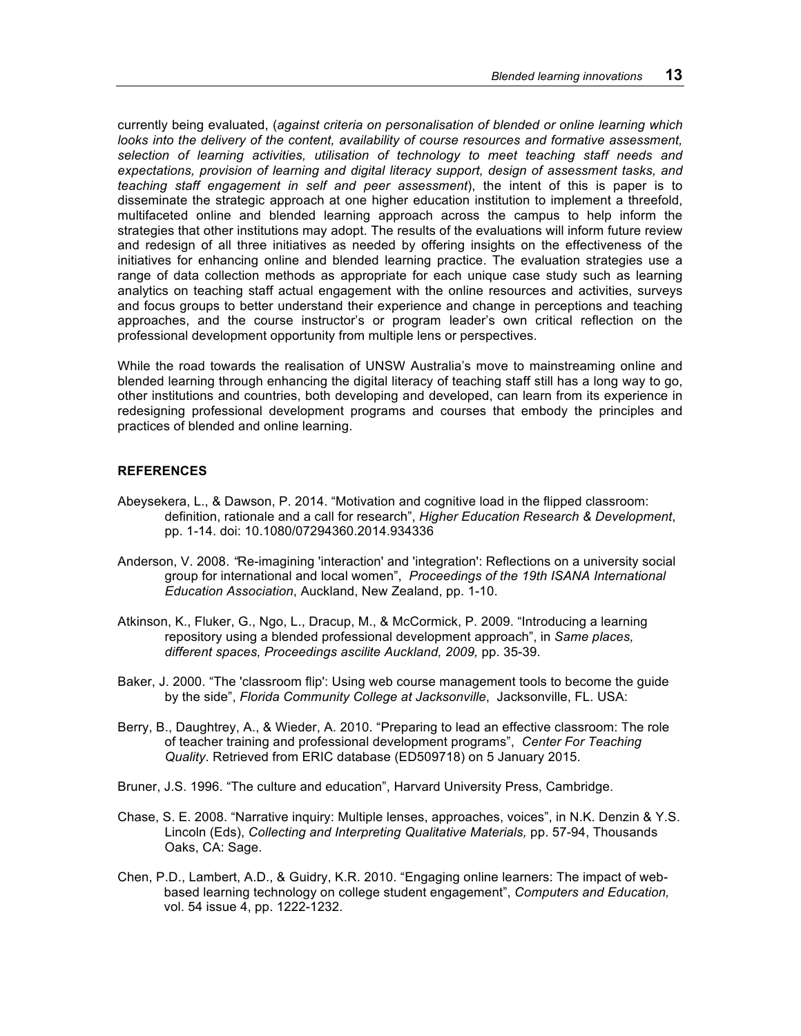currently being evaluated, (*against criteria on personalisation of blended or online learning which*  looks into the delivery of the content, availability of course resources and formative assessment, *selection of learning activities, utilisation of technology to meet teaching staff needs and expectations, provision of learning and digital literacy support, design of assessment tasks, and teaching staff engagement in self and peer assessment*), the intent of this is paper is to disseminate the strategic approach at one higher education institution to implement a threefold, multifaceted online and blended learning approach across the campus to help inform the strategies that other institutions may adopt. The results of the evaluations will inform future review and redesign of all three initiatives as needed by offering insights on the effectiveness of the initiatives for enhancing online and blended learning practice. The evaluation strategies use a range of data collection methods as appropriate for each unique case study such as learning analytics on teaching staff actual engagement with the online resources and activities, surveys and focus groups to better understand their experience and change in perceptions and teaching approaches, and the course instructor's or program leader's own critical reflection on the professional development opportunity from multiple lens or perspectives.

While the road towards the realisation of UNSW Australia's move to mainstreaming online and blended learning through enhancing the digital literacy of teaching staff still has a long way to go, other institutions and countries, both developing and developed, can learn from its experience in redesigning professional development programs and courses that embody the principles and practices of blended and online learning.

### **REFERENCES**

- Abeysekera, L., & Dawson, P. 2014. "Motivation and cognitive load in the flipped classroom: definition, rationale and a call for research", *Higher Education Research & Development*, pp. 1-14. doi: 10.1080/07294360.2014.934336
- Anderson, V. 2008. *"*Re-imagining 'interaction' and 'integration': Reflections on a university social group for international and local women", *Proceedings of the 19th ISANA International Education Association*, Auckland, New Zealand, pp. 1-10.
- Atkinson, K., Fluker, G., Ngo, L., Dracup, M., & McCormick, P. 2009. "Introducing a learning repository using a blended professional development approach", in *Same places, different spaces, Proceedings ascilite Auckland, 2009,* pp. 35-39.
- Baker, J. 2000. "The 'classroom flip': Using web course management tools to become the guide by the side", *Florida Community College at Jacksonville*, Jacksonville, FL. USA:
- Berry, B., Daughtrey, A., & Wieder, A. 2010. "Preparing to lead an effective classroom: The role of teacher training and professional development programs", *Center For Teaching Quality*. Retrieved from ERIC database (ED509718) on 5 January 2015.
- Bruner, J.S. 1996. "The culture and education", Harvard University Press, Cambridge.
- Chase, S. E. 2008. "Narrative inquiry: Multiple lenses, approaches, voices", in N.K. Denzin & Y.S. Lincoln (Eds), *Collecting and Interpreting Qualitative Materials,* pp. 57-94, Thousands Oaks, CA: Sage.
- Chen, P.D., Lambert, A.D., & Guidry, K.R. 2010. "Engaging online learners: The impact of webbased learning technology on college student engagement", *Computers and Education,*  vol. 54 issue 4, pp. 1222-1232.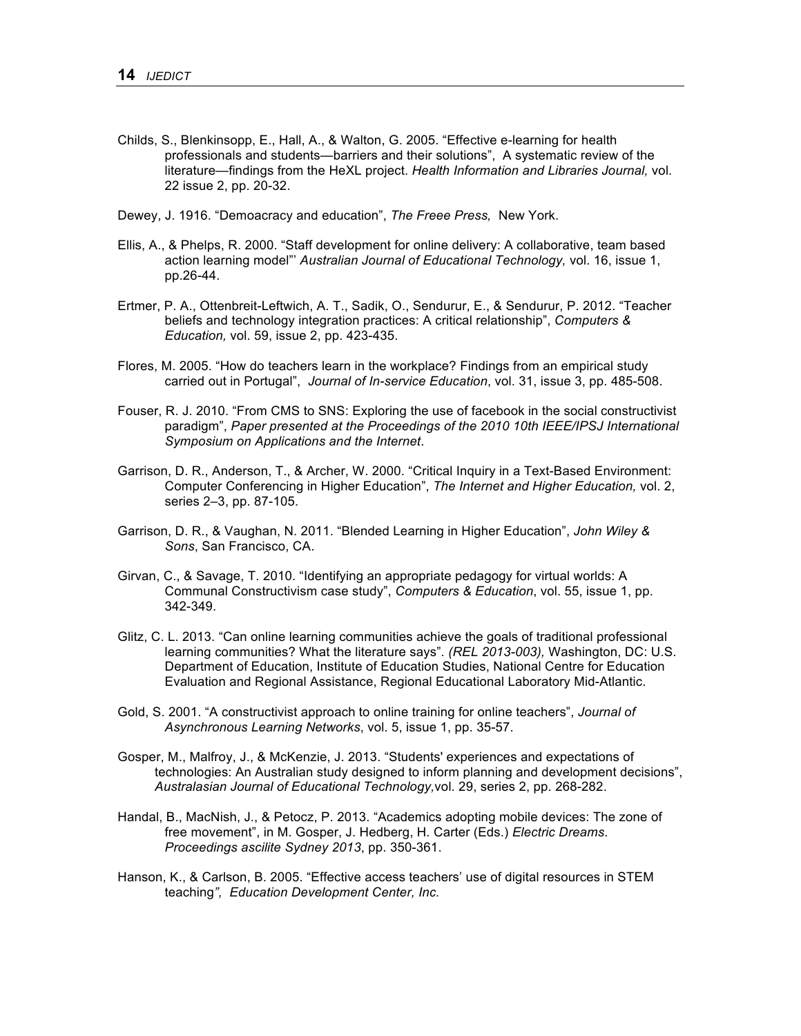- Childs, S., Blenkinsopp, E., Hall, A., & Walton, G. 2005. "Effective e-learning for health professionals and students—barriers and their solutions", A systematic review of the literature—findings from the HeXL project. *Health Information and Libraries Journal,* vol. 22 issue 2, pp. 20-32.
- Dewey, J. 1916. "Demoacracy and education", *The Freee Press,* New York.
- Ellis, A., & Phelps, R. 2000. "Staff development for online delivery: A collaborative, team based action learning model"' *Australian Journal of Educational Technology,* vol. 16, issue 1, pp.26-44.
- Ertmer, P. A., Ottenbreit-Leftwich, A. T., Sadik, O., Sendurur, E., & Sendurur, P. 2012. "Teacher beliefs and technology integration practices: A critical relationship", *Computers & Education,* vol. 59, issue 2, pp. 423-435.
- Flores, M. 2005. "How do teachers learn in the workplace? Findings from an empirical study carried out in Portugal", *Journal of In-service Education*, vol. 31, issue 3, pp. 485-508.
- Fouser, R. J. 2010. "From CMS to SNS: Exploring the use of facebook in the social constructivist paradigm", *Paper presented at the Proceedings of the 2010 10th IEEE/IPSJ International Symposium on Applications and the Internet*.
- Garrison, D. R., Anderson, T., & Archer, W. 2000. "Critical Inquiry in a Text-Based Environment: Computer Conferencing in Higher Education", *The Internet and Higher Education,* vol. 2, series 2–3, pp. 87-105.
- Garrison, D. R., & Vaughan, N. 2011. "Blended Learning in Higher Education", *John Wiley & Sons*, San Francisco, CA.
- Girvan, C., & Savage, T. 2010. "Identifying an appropriate pedagogy for virtual worlds: A Communal Constructivism case study", *Computers & Education*, vol. 55, issue 1, pp. 342-349.
- Glitz, C. L. 2013. "Can online learning communities achieve the goals of traditional professional learning communities? What the literature says". *(REL 2013-003),* Washington, DC: U.S. Department of Education, Institute of Education Studies, National Centre for Education Evaluation and Regional Assistance, Regional Educational Laboratory Mid-Atlantic.
- Gold, S. 2001. "A constructivist approach to online training for online teachers", *Journal of Asynchronous Learning Networks*, vol. 5, issue 1, pp. 35-57.
- Gosper, M., Malfroy, J., & McKenzie, J. 2013. "Students' experiences and expectations of technologies: An Australian study designed to inform planning and development decisions", *Australasian Journal of Educational Technology,*vol. 29, series 2, pp. 268-282.
- Handal, B., MacNish, J., & Petocz, P. 2013. "Academics adopting mobile devices: The zone of free movement", in M. Gosper, J. Hedberg, H. Carter (Eds.) *Electric Dreams*. *Proceedings ascilite Sydney 2013*, pp. 350-361.
- Hanson, K., & Carlson, B. 2005. "Effective access teachers' use of digital resources in STEM teaching*", Education Development Center, Inc.*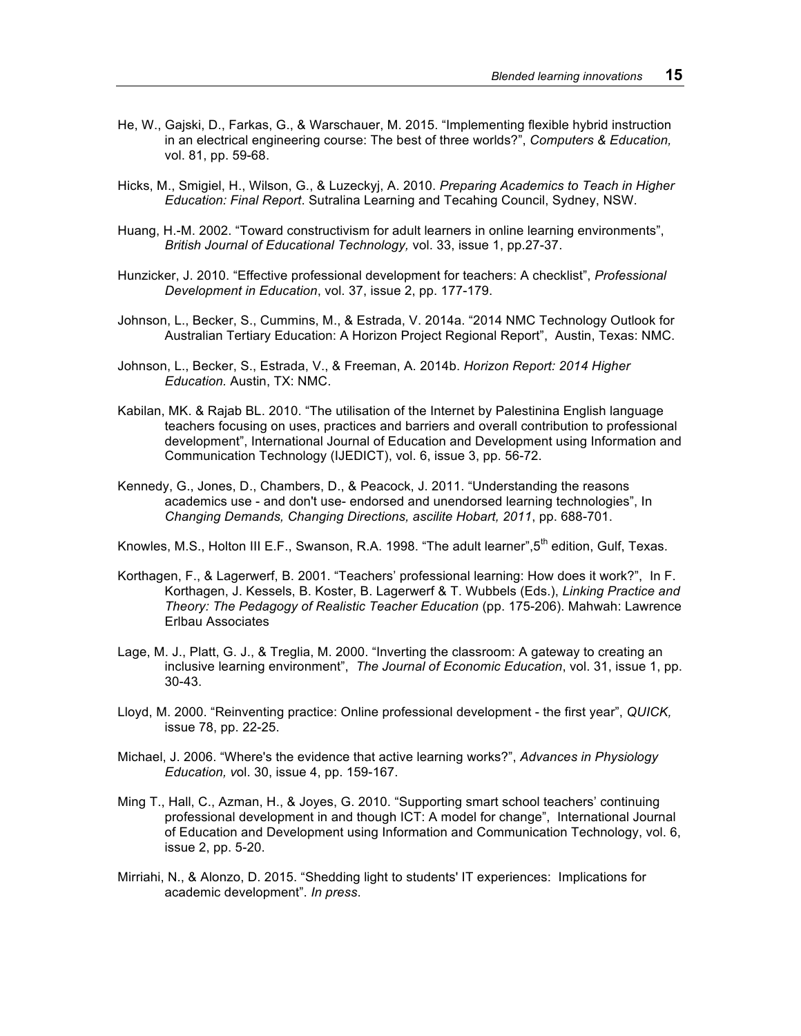- He, W., Gajski, D., Farkas, G., & Warschauer, M. 2015. "Implementing flexible hybrid instruction in an electrical engineering course: The best of three worlds?", *Computers & Education,*  vol. 81, pp. 59-68.
- Hicks, M., Smigiel, H., Wilson, G., & Luzeckyj, A. 2010. *Preparing Academics to Teach in Higher Education: Final Report*. Sutralina Learning and Tecahing Council, Sydney, NSW.
- Huang, H.-M. 2002. "Toward constructivism for adult learners in online learning environments", *British Journal of Educational Technology,* vol. 33, issue 1, pp.27-37.
- Hunzicker, J. 2010. "Effective professional development for teachers: A checklist", *Professional Development in Education*, vol. 37, issue 2, pp. 177-179.
- Johnson, L., Becker, S., Cummins, M., & Estrada, V. 2014a. "2014 NMC Technology Outlook for Australian Tertiary Education: A Horizon Project Regional Report", Austin, Texas: NMC.
- Johnson, L., Becker, S., Estrada, V., & Freeman, A. 2014b. *Horizon Report: 2014 Higher Education.* Austin, TX: NMC.
- Kabilan, MK. & Rajab BL. 2010. "The utilisation of the Internet by Palestinina English language teachers focusing on uses, practices and barriers and overall contribution to professional development", International Journal of Education and Development using Information and Communication Technology (IJEDICT), vol. 6, issue 3, pp. 56-72.
- Kennedy, G., Jones, D., Chambers, D., & Peacock, J. 2011. "Understanding the reasons academics use - and don't use- endorsed and unendorsed learning technologies", In *Changing Demands, Changing Directions, ascilite Hobart, 2011*, pp. 688-701.
- Knowles, M.S., Holton III E.F., Swanson, R.A. 1998. "The adult learner", 5<sup>th</sup> edition, Gulf, Texas.
- Korthagen, F., & Lagerwerf, B. 2001. "Teachers' professional learning: How does it work?", In F. Korthagen, J. Kessels, B. Koster, B. Lagerwerf & T. Wubbels (Eds.), *Linking Practice and Theory: The Pedagogy of Realistic Teacher Education* (pp. 175-206). Mahwah: Lawrence Erlbau Associates
- Lage, M. J., Platt, G. J., & Treglia, M. 2000. "Inverting the classroom: A gateway to creating an inclusive learning environment", *The Journal of Economic Education*, vol. 31, issue 1, pp. 30-43.
- Lloyd, M. 2000. "Reinventing practice: Online professional development the first year", *QUICK,*  issue 78, pp. 22-25.
- Michael, J. 2006. "Where's the evidence that active learning works?", *Advances in Physiology Education, v*ol. 30, issue 4, pp. 159-167.
- Ming T., Hall, C., Azman, H., & Joyes, G. 2010. "Supporting smart school teachers' continuing professional development in and though ICT: A model for change", International Journal of Education and Development using Information and Communication Technology, vol. 6, issue 2, pp. 5-20.
- Mirriahi, N., & Alonzo, D. 2015. "Shedding light to students' IT experiences: Implications for academic development". *In press*.